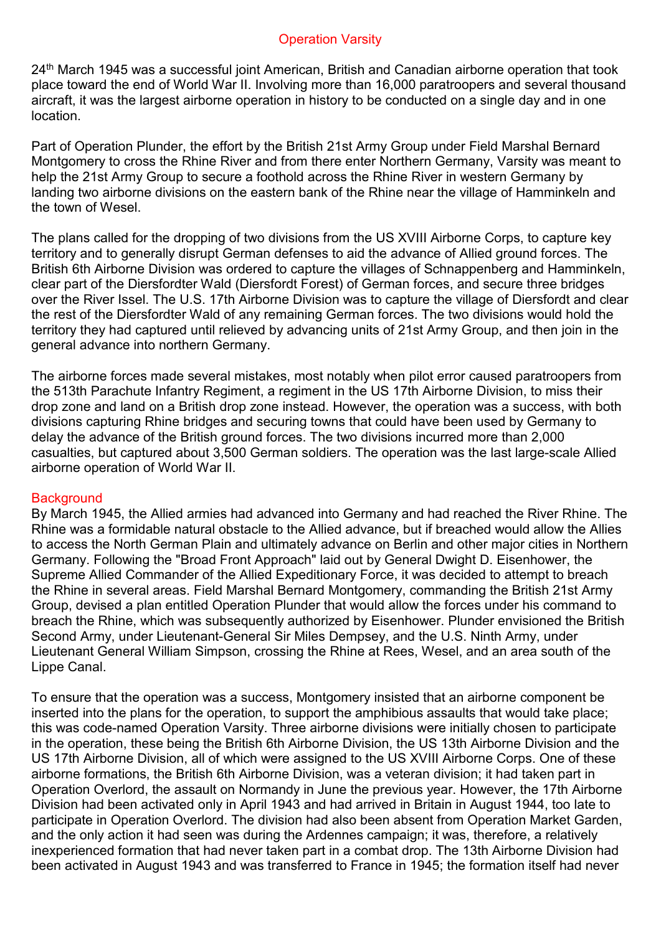#### Operation Varsity

24<sup>th</sup> March 1945 was a successful joint American, British and Canadian airborne operation that took place toward the end of World War II. Involving more than 16,000 paratroopers and several thousand aircraft, it was the largest airborne operation in history to be conducted on a single day and in one location.

Part of Operation Plunder, the effort by the British 21st Army Group under Field Marshal Bernard Montgomery to cross the Rhine River and from there enter Northern Germany, Varsity was meant to help the 21st Army Group to secure a foothold across the Rhine River in western Germany by landing two airborne divisions on the eastern bank of the Rhine near the village of Hamminkeln and the town of Wesel.

The plans called for the dropping of two divisions from the US XVIII Airborne Corps, to capture key territory and to generally disrupt German defenses to aid the advance of Allied ground forces. The British 6th Airborne Division was ordered to capture the villages of Schnappenberg and Hamminkeln, clear part of the Diersfordter Wald (Diersfordt Forest) of German forces, and secure three bridges over the River Issel. The U.S. 17th Airborne Division was to capture the village of Diersfordt and clear the rest of the Diersfordter Wald of any remaining German forces. The two divisions would hold the territory they had captured until relieved by advancing units of 21st Army Group, and then join in the general advance into northern Germany.

The airborne forces made several mistakes, most notably when pilot error caused paratroopers from the 513th Parachute Infantry Regiment, a regiment in the US 17th Airborne Division, to miss their drop zone and land on a British drop zone instead. However, the operation was a success, with both divisions capturing Rhine bridges and securing towns that could have been used by Germany to delay the advance of the British ground forces. The two divisions incurred more than 2,000 casualties, but captured about 3,500 German soldiers. The operation was the last large-scale Allied airborne operation of World War II.

# **Background**

By March 1945, the Allied armies had advanced into Germany and had reached the River Rhine. The Rhine was a formidable natural obstacle to the Allied advance, but if breached would allow the Allies to access the North German Plain and ultimately advance on Berlin and other major cities in Northern Germany. Following the "Broad Front Approach" laid out by General Dwight D. Eisenhower, the Supreme Allied Commander of the Allied Expeditionary Force, it was decided to attempt to breach the Rhine in several areas. Field Marshal Bernard Montgomery, commanding the British 21st Army Group, devised a plan entitled Operation Plunder that would allow the forces under his command to breach the Rhine, which was subsequently authorized by Eisenhower. Plunder envisioned the British Second Army, under Lieutenant-General Sir Miles Dempsey, and the U.S. Ninth Army, under Lieutenant General William Simpson, crossing the Rhine at Rees, Wesel, and an area south of the Lippe Canal.

To ensure that the operation was a success, Montgomery insisted that an airborne component be inserted into the plans for the operation, to support the amphibious assaults that would take place; this was code-named Operation Varsity. Three airborne divisions were initially chosen to participate in the operation, these being the British 6th Airborne Division, the US 13th Airborne Division and the US 17th Airborne Division, all of which were assigned to the US XVIII Airborne Corps. One of these airborne formations, the British 6th Airborne Division, was a veteran division; it had taken part in Operation Overlord, the assault on Normandy in June the previous year. However, the 17th Airborne Division had been activated only in April 1943 and had arrived in Britain in August 1944, too late to participate in Operation Overlord. The division had also been absent from Operation Market Garden, and the only action it had seen was during the Ardennes campaign; it was, therefore, a relatively inexperienced formation that had never taken part in a combat drop. The 13th Airborne Division had been activated in August 1943 and was transferred to France in 1945; the formation itself had never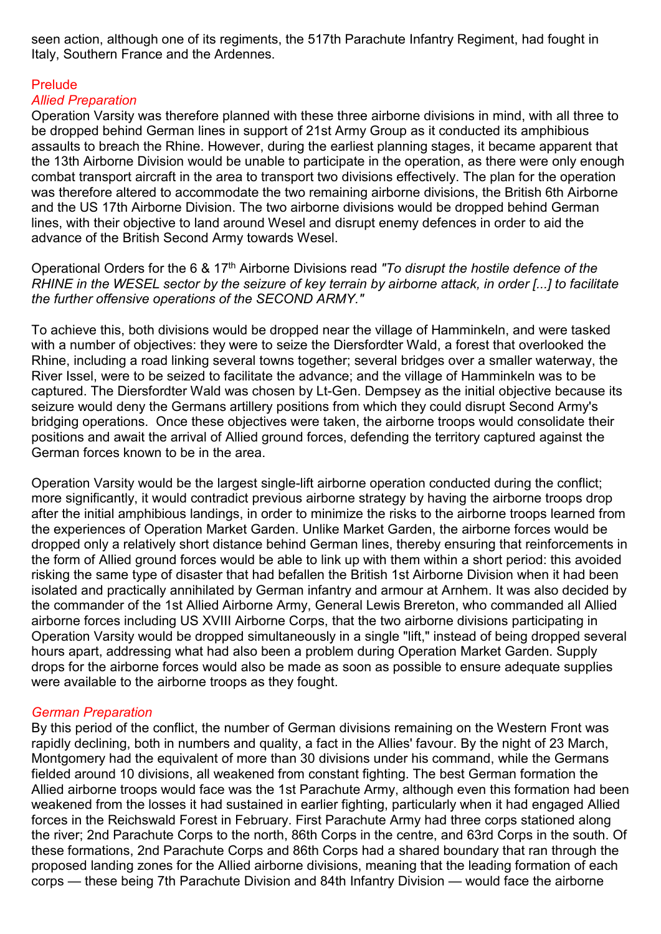seen action, although one of its regiments, the 517th Parachute Infantry Regiment, had fought in Italy, Southern France and the Ardennes.

# Prelude

# *Allied Preparation*

Operation Varsity was therefore planned with these three airborne divisions in mind, with all three to be dropped behind German lines in support of 21st Army Group as it conducted its amphibious assaults to breach the Rhine. However, during the earliest planning stages, it became apparent that the 13th Airborne Division would be unable to participate in the operation, as there were only enough combat transport aircraft in the area to transport two divisions effectively. The plan for the operation was therefore altered to accommodate the two remaining airborne divisions, the British 6th Airborne and the US 17th Airborne Division. The two airborne divisions would be dropped behind German lines, with their objective to land around Wesel and disrupt enemy defences in order to aid the advance of the British Second Army towards Wesel.

Operational Orders for the 6 & 17th Airborne Divisions read *"To disrupt the hostile defence of the RHINE in the WESEL sector by the seizure of key terrain by airborne attack, in order [...] to facilitate the further offensive operations of the SECOND ARMY."* 

To achieve this, both divisions would be dropped near the village of Hamminkeln, and were tasked with a number of objectives: they were to seize the Diersfordter Wald, a forest that overlooked the Rhine, including a road linking several towns together; several bridges over a smaller waterway, the River Issel, were to be seized to facilitate the advance; and the village of Hamminkeln was to be captured. The Diersfordter Wald was chosen by Lt-Gen. Dempsey as the initial objective because its seizure would deny the Germans artillery positions from which they could disrupt Second Army's bridging operations. Once these objectives were taken, the airborne troops would consolidate their positions and await the arrival of Allied ground forces, defending the territory captured against the German forces known to be in the area.

Operation Varsity would be the largest single-lift airborne operation conducted during the conflict; more significantly, it would contradict previous airborne strategy by having the airborne troops drop after the initial amphibious landings, in order to minimize the risks to the airborne troops learned from the experiences of Operation Market Garden. Unlike Market Garden, the airborne forces would be dropped only a relatively short distance behind German lines, thereby ensuring that reinforcements in the form of Allied ground forces would be able to link up with them within a short period: this avoided risking the same type of disaster that had befallen the British 1st Airborne Division when it had been isolated and practically annihilated by German infantry and armour at Arnhem. It was also decided by the commander of the 1st Allied Airborne Army, General Lewis Brereton, who commanded all Allied airborne forces including US XVIII Airborne Corps, that the two airborne divisions participating in Operation Varsity would be dropped simultaneously in a single "lift," instead of being dropped several hours apart, addressing what had also been a problem during Operation Market Garden. Supply drops for the airborne forces would also be made as soon as possible to ensure adequate supplies were available to the airborne troops as they fought.

# *German Preparation*

By this period of the conflict, the number of German divisions remaining on the Western Front was rapidly declining, both in numbers and quality, a fact in the Allies' favour. By the night of 23 March, Montgomery had the equivalent of more than 30 divisions under his command, while the Germans fielded around 10 divisions, all weakened from constant fighting. The best German formation the Allied airborne troops would face was the 1st Parachute Army, although even this formation had been weakened from the losses it had sustained in earlier fighting, particularly when it had engaged Allied forces in the Reichswald Forest in February. First Parachute Army had three corps stationed along the river; 2nd Parachute Corps to the north, 86th Corps in the centre, and 63rd Corps in the south. Of these formations, 2nd Parachute Corps and 86th Corps had a shared boundary that ran through the proposed landing zones for the Allied airborne divisions, meaning that the leading formation of each corps — these being 7th Parachute Division and 84th Infantry Division — would face the airborne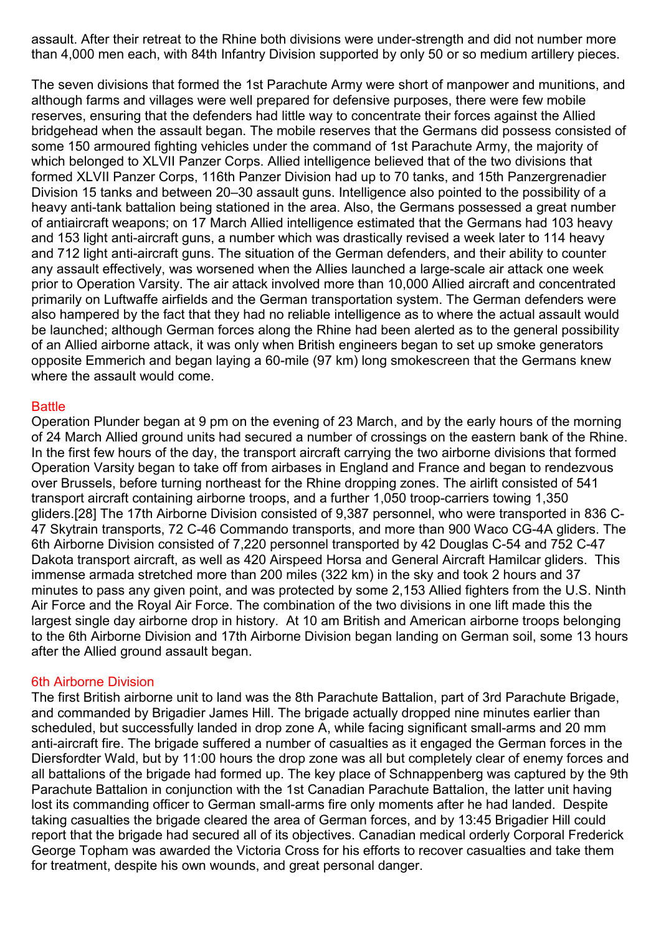assault. After their retreat to the Rhine both divisions were under-strength and did not number more than 4,000 men each, with 84th Infantry Division supported by only 50 or so medium artillery pieces.

The seven divisions that formed the 1st Parachute Army were short of manpower and munitions, and although farms and villages were well prepared for defensive purposes, there were few mobile reserves, ensuring that the defenders had little way to concentrate their forces against the Allied bridgehead when the assault began. The mobile reserves that the Germans did possess consisted of some 150 armoured fighting vehicles under the command of 1st Parachute Army, the majority of which belonged to XLVII Panzer Corps. Allied intelligence believed that of the two divisions that formed XLVII Panzer Corps, 116th Panzer Division had up to 70 tanks, and 15th Panzergrenadier Division 15 tanks and between 20–30 assault guns. Intelligence also pointed to the possibility of a heavy anti-tank battalion being stationed in the area. Also, the Germans possessed a great number of antiaircraft weapons; on 17 March Allied intelligence estimated that the Germans had 103 heavy and 153 light anti-aircraft guns, a number which was drastically revised a week later to 114 heavy and 712 light anti-aircraft guns. The situation of the German defenders, and their ability to counter any assault effectively, was worsened when the Allies launched a large-scale air attack one week prior to Operation Varsity. The air attack involved more than 10,000 Allied aircraft and concentrated primarily on Luftwaffe airfields and the German transportation system. The German defenders were also hampered by the fact that they had no reliable intelligence as to where the actual assault would be launched; although German forces along the Rhine had been alerted as to the general possibility of an Allied airborne attack, it was only when British engineers began to set up smoke generators opposite Emmerich and began laying a 60-mile (97 km) long smokescreen that the Germans knew where the assault would come.

#### **Battle**

Operation Plunder began at 9 pm on the evening of 23 March, and by the early hours of the morning of 24 March Allied ground units had secured a number of crossings on the eastern bank of the Rhine. In the first few hours of the day, the transport aircraft carrying the two airborne divisions that formed Operation Varsity began to take off from airbases in England and France and began to rendezvous over Brussels, before turning northeast for the Rhine dropping zones. The airlift consisted of 541 transport aircraft containing airborne troops, and a further 1,050 troop-carriers towing 1,350 gliders.[28] The 17th Airborne Division consisted of 9,387 personnel, who were transported in 836 C-47 Skytrain transports, 72 C-46 Commando transports, and more than 900 Waco CG-4A gliders. The 6th Airborne Division consisted of 7,220 personnel transported by 42 Douglas C-54 and 752 C-47 Dakota transport aircraft, as well as 420 Airspeed Horsa and General Aircraft Hamilcar gliders. This immense armada stretched more than 200 miles (322 km) in the sky and took 2 hours and 37 minutes to pass any given point, and was protected by some 2,153 Allied fighters from the U.S. Ninth Air Force and the Royal Air Force. The combination of the two divisions in one lift made this the largest single day airborne drop in history. At 10 am British and American airborne troops belonging to the 6th Airborne Division and 17th Airborne Division began landing on German soil, some 13 hours after the Allied ground assault began.

# 6th Airborne Division

The first British airborne unit to land was the 8th Parachute Battalion, part of 3rd Parachute Brigade, and commanded by Brigadier James Hill. The brigade actually dropped nine minutes earlier than scheduled, but successfully landed in drop zone A, while facing significant small-arms and 20 mm anti-aircraft fire. The brigade suffered a number of casualties as it engaged the German forces in the Diersfordter Wald, but by 11:00 hours the drop zone was all but completely clear of enemy forces and all battalions of the brigade had formed up. The key place of Schnappenberg was captured by the 9th Parachute Battalion in conjunction with the 1st Canadian Parachute Battalion, the latter unit having lost its commanding officer to German small-arms fire only moments after he had landed. Despite taking casualties the brigade cleared the area of German forces, and by 13:45 Brigadier Hill could report that the brigade had secured all of its objectives. Canadian medical orderly Corporal Frederick George Topham was awarded the Victoria Cross for his efforts to recover casualties and take them for treatment, despite his own wounds, and great personal danger.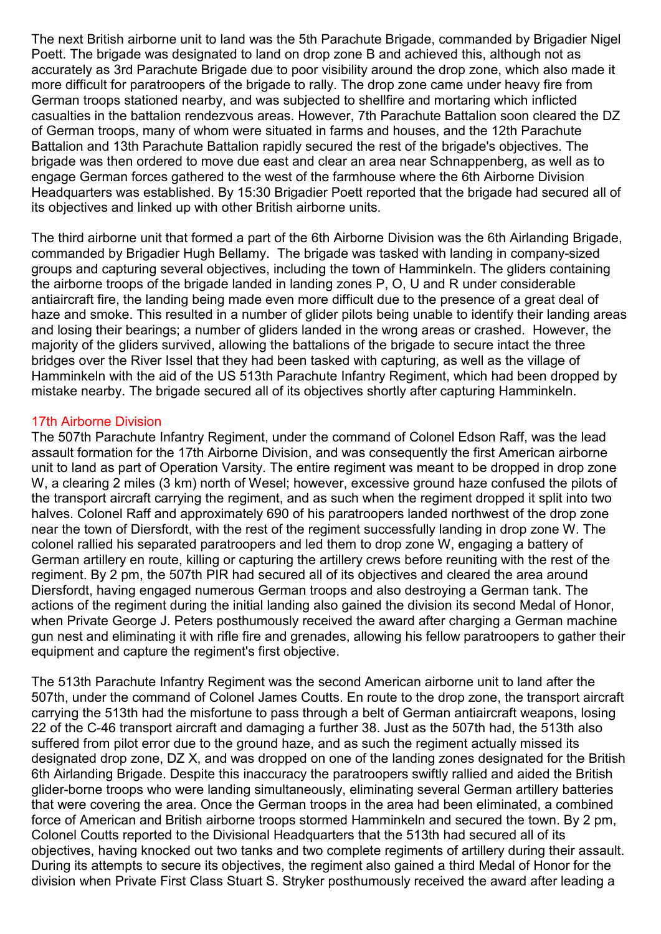The next British airborne unit to land was the 5th Parachute Brigade, commanded by Brigadier Nigel Poett. The brigade was designated to land on drop zone B and achieved this, although not as accurately as 3rd Parachute Brigade due to poor visibility around the drop zone, which also made it more difficult for paratroopers of the brigade to rally. The drop zone came under heavy fire from German troops stationed nearby, and was subjected to shellfire and mortaring which inflicted casualties in the battalion rendezvous areas. However, 7th Parachute Battalion soon cleared the DZ of German troops, many of whom were situated in farms and houses, and the 12th Parachute Battalion and 13th Parachute Battalion rapidly secured the rest of the brigade's objectives. The brigade was then ordered to move due east and clear an area near Schnappenberg, as well as to engage German forces gathered to the west of the farmhouse where the 6th Airborne Division Headquarters was established. By 15:30 Brigadier Poett reported that the brigade had secured all of its objectives and linked up with other British airborne units.

The third airborne unit that formed a part of the 6th Airborne Division was the 6th Airlanding Brigade, commanded by Brigadier Hugh Bellamy. The brigade was tasked with landing in company-sized groups and capturing several objectives, including the town of Hamminkeln. The gliders containing the airborne troops of the brigade landed in landing zones P, O, U and R under considerable antiaircraft fire, the landing being made even more difficult due to the presence of a great deal of haze and smoke. This resulted in a number of glider pilots being unable to identify their landing areas and losing their bearings; a number of gliders landed in the wrong areas or crashed. However, the majority of the gliders survived, allowing the battalions of the brigade to secure intact the three bridges over the River Issel that they had been tasked with capturing, as well as the village of Hamminkeln with the aid of the US 513th Parachute Infantry Regiment, which had been dropped by mistake nearby. The brigade secured all of its objectives shortly after capturing Hamminkeln.

#### 17th Airborne Division

The 507th Parachute Infantry Regiment, under the command of Colonel Edson Raff, was the lead assault formation for the 17th Airborne Division, and was consequently the first American airborne unit to land as part of Operation Varsity. The entire regiment was meant to be dropped in drop zone W, a clearing 2 miles (3 km) north of Wesel; however, excessive ground haze confused the pilots of the transport aircraft carrying the regiment, and as such when the regiment dropped it split into two halves. Colonel Raff and approximately 690 of his paratroopers landed northwest of the drop zone near the town of Diersfordt, with the rest of the regiment successfully landing in drop zone W. The colonel rallied his separated paratroopers and led them to drop zone W, engaging a battery of German artillery en route, killing or capturing the artillery crews before reuniting with the rest of the regiment. By 2 pm, the 507th PIR had secured all of its objectives and cleared the area around Diersfordt, having engaged numerous German troops and also destroying a German tank. The actions of the regiment during the initial landing also gained the division its second Medal of Honor, when Private George J. Peters posthumously received the award after charging a German machine gun nest and eliminating it with rifle fire and grenades, allowing his fellow paratroopers to gather their equipment and capture the regiment's first objective.

The 513th Parachute Infantry Regiment was the second American airborne unit to land after the 507th, under the command of Colonel James Coutts. En route to the drop zone, the transport aircraft carrying the 513th had the misfortune to pass through a belt of German antiaircraft weapons, losing 22 of the C-46 transport aircraft and damaging a further 38. Just as the 507th had, the 513th also suffered from pilot error due to the ground haze, and as such the regiment actually missed its designated drop zone, DZ X, and was dropped on one of the landing zones designated for the British 6th Airlanding Brigade. Despite this inaccuracy the paratroopers swiftly rallied and aided the British glider-borne troops who were landing simultaneously, eliminating several German artillery batteries that were covering the area. Once the German troops in the area had been eliminated, a combined force of American and British airborne troops stormed Hamminkeln and secured the town. By 2 pm, Colonel Coutts reported to the Divisional Headquarters that the 513th had secured all of its objectives, having knocked out two tanks and two complete regiments of artillery during their assault. During its attempts to secure its objectives, the regiment also gained a third Medal of Honor for the division when Private First Class Stuart S. Stryker posthumously received the award after leading a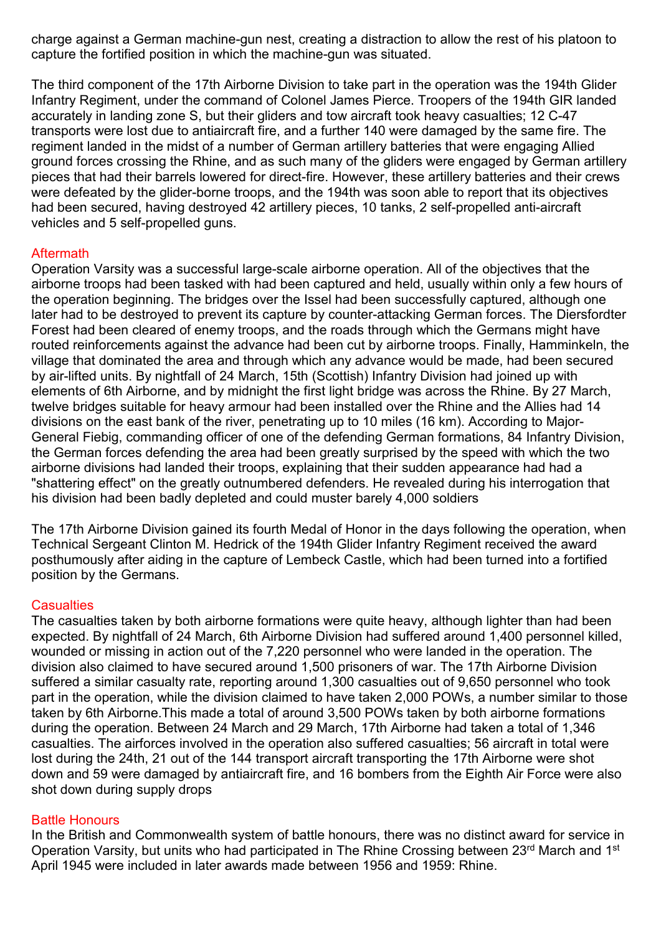charge against a German machine-gun nest, creating a distraction to allow the rest of his platoon to capture the fortified position in which the machine-gun was situated.

The third component of the 17th Airborne Division to take part in the operation was the 194th Glider Infantry Regiment, under the command of Colonel James Pierce. Troopers of the 194th GIR landed accurately in landing zone S, but their gliders and tow aircraft took heavy casualties; 12 C-47 transports were lost due to antiaircraft fire, and a further 140 were damaged by the same fire. The regiment landed in the midst of a number of German artillery batteries that were engaging Allied ground forces crossing the Rhine, and as such many of the gliders were engaged by German artillery pieces that had their barrels lowered for direct-fire. However, these artillery batteries and their crews were defeated by the glider-borne troops, and the 194th was soon able to report that its objectives had been secured, having destroyed 42 artillery pieces, 10 tanks, 2 self-propelled anti-aircraft vehicles and 5 self-propelled guns.

# **Aftermath**

Operation Varsity was a successful large-scale airborne operation. All of the objectives that the airborne troops had been tasked with had been captured and held, usually within only a few hours of the operation beginning. The bridges over the Issel had been successfully captured, although one later had to be destroyed to prevent its capture by counter-attacking German forces. The Diersfordter Forest had been cleared of enemy troops, and the roads through which the Germans might have routed reinforcements against the advance had been cut by airborne troops. Finally, Hamminkeln, the village that dominated the area and through which any advance would be made, had been secured by air-lifted units. By nightfall of 24 March, 15th (Scottish) Infantry Division had joined up with elements of 6th Airborne, and by midnight the first light bridge was across the Rhine. By 27 March, twelve bridges suitable for heavy armour had been installed over the Rhine and the Allies had 14 divisions on the east bank of the river, penetrating up to 10 miles (16 km). According to Major-General Fiebig, commanding officer of one of the defending German formations, 84 Infantry Division, the German forces defending the area had been greatly surprised by the speed with which the two airborne divisions had landed their troops, explaining that their sudden appearance had had a "shattering effect" on the greatly outnumbered defenders. He revealed during his interrogation that his division had been badly depleted and could muster barely 4,000 soldiers

The 17th Airborne Division gained its fourth Medal of Honor in the days following the operation, when Technical Sergeant Clinton M. Hedrick of the 194th Glider Infantry Regiment received the award posthumously after aiding in the capture of Lembeck Castle, which had been turned into a fortified position by the Germans.

# **Casualties**

The casualties taken by both airborne formations were quite heavy, although lighter than had been expected. By nightfall of 24 March, 6th Airborne Division had suffered around 1,400 personnel killed, wounded or missing in action out of the 7,220 personnel who were landed in the operation. The division also claimed to have secured around 1,500 prisoners of war. The 17th Airborne Division suffered a similar casualty rate, reporting around 1,300 casualties out of 9,650 personnel who took part in the operation, while the division claimed to have taken 2,000 POWs, a number similar to those taken by 6th Airborne.This made a total of around 3,500 POWs taken by both airborne formations during the operation. Between 24 March and 29 March, 17th Airborne had taken a total of 1,346 casualties. The airforces involved in the operation also suffered casualties; 56 aircraft in total were lost during the 24th, 21 out of the 144 transport aircraft transporting the 17th Airborne were shot down and 59 were damaged by antiaircraft fire, and 16 bombers from the Eighth Air Force were also shot down during supply drops

# Battle Honours

In the British and Commonwealth system of battle honours, there was no distinct award for service in Operation Varsity, but units who had participated in The Rhine Crossing between 23rd March and 1<sup>st</sup> April 1945 were included in later awards made between 1956 and 1959: Rhine.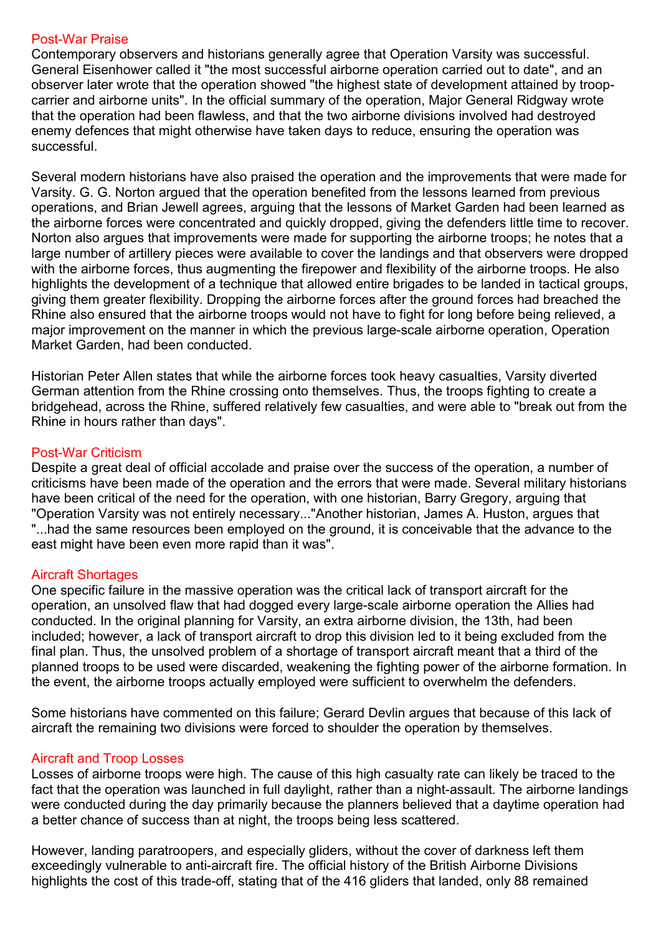# Post-War Praise

Contemporary observers and historians generally agree that Operation Varsity was successful. General Eisenhower called it "the most successful airborne operation carried out to date", and an observer later wrote that the operation showed "the highest state of development attained by troopcarrier and airborne units". In the official summary of the operation, Major General Ridgway wrote that the operation had been flawless, and that the two airborne divisions involved had destroyed enemy defences that might otherwise have taken days to reduce, ensuring the operation was successful.

Several modern historians have also praised the operation and the improvements that were made for Varsity. G. G. Norton argued that the operation benefited from the lessons learned from previous operations, and Brian Jewell agrees, arguing that the lessons of Market Garden had been learned as the airborne forces were concentrated and quickly dropped, giving the defenders little time to recover. Norton also argues that improvements were made for supporting the airborne troops; he notes that a large number of artillery pieces were available to cover the landings and that observers were dropped with the airborne forces, thus augmenting the firepower and flexibility of the airborne troops. He also highlights the development of a technique that allowed entire brigades to be landed in tactical groups, giving them greater flexibility. Dropping the airborne forces after the ground forces had breached the Rhine also ensured that the airborne troops would not have to fight for long before being relieved, a major improvement on the manner in which the previous large-scale airborne operation, Operation Market Garden, had been conducted.

Historian Peter Allen states that while the airborne forces took heavy casualties, Varsity diverted German attention from the Rhine crossing onto themselves. Thus, the troops fighting to create a bridgehead, across the Rhine, suffered relatively few casualties, and were able to "break out from the Rhine in hours rather than days".

# Post-War Criticism

Despite a great deal of official accolade and praise over the success of the operation, a number of criticisms have been made of the operation and the errors that were made. Several military historians have been critical of the need for the operation, with one historian, Barry Gregory, arguing that "Operation Varsity was not entirely necessary..."Another historian, James A. Huston, argues that "...had the same resources been employed on the ground, it is conceivable that the advance to the east might have been even more rapid than it was".

# Aircraft Shortages

One specific failure in the massive operation was the critical lack of transport aircraft for the operation, an unsolved flaw that had dogged every large-scale airborne operation the Allies had conducted. In the original planning for Varsity, an extra airborne division, the 13th, had been included; however, a lack of transport aircraft to drop this division led to it being excluded from the final plan. Thus, the unsolved problem of a shortage of transport aircraft meant that a third of the planned troops to be used were discarded, weakening the fighting power of the airborne formation. In the event, the airborne troops actually employed were sufficient to overwhelm the defenders.

Some historians have commented on this failure; Gerard Devlin argues that because of this lack of aircraft the remaining two divisions were forced to shoulder the operation by themselves.

# Aircraft and Troop Losses

Losses of airborne troops were high. The cause of this high casualty rate can likely be traced to the fact that the operation was launched in full daylight, rather than a night-assault. The airborne landings were conducted during the day primarily because the planners believed that a daytime operation had a better chance of success than at night, the troops being less scattered.

However, landing paratroopers, and especially gliders, without the cover of darkness left them exceedingly vulnerable to anti-aircraft fire. The official history of the British Airborne Divisions highlights the cost of this trade-off, stating that of the 416 gliders that landed, only 88 remained